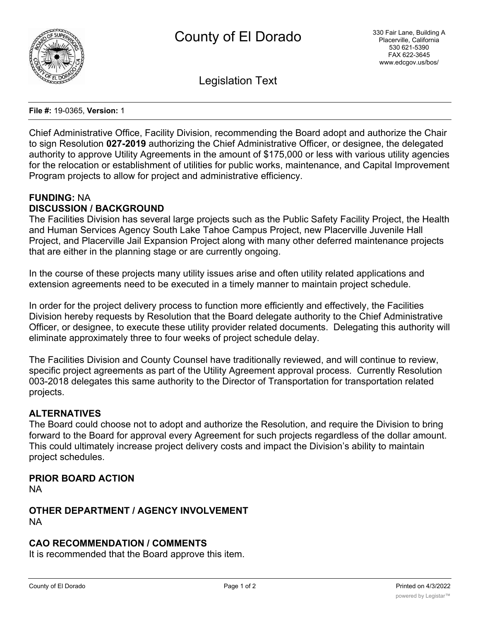

Legislation Text

**File #:** 19-0365, **Version:** 1

Chief Administrative Office, Facility Division, recommending the Board adopt and authorize the Chair to sign Resolution **027-2019** authorizing the Chief Administrative Officer, or designee, the delegated authority to approve Utility Agreements in the amount of \$175,000 or less with various utility agencies for the relocation or establishment of utilities for public works, maintenance, and Capital Improvement Program projects to allow for project and administrative efficiency.

#### **FUNDING:** NA **DISCUSSION / BACKGROUND**

The Facilities Division has several large projects such as the Public Safety Facility Project, the Health and Human Services Agency South Lake Tahoe Campus Project, new Placerville Juvenile Hall Project, and Placerville Jail Expansion Project along with many other deferred maintenance projects that are either in the planning stage or are currently ongoing.

In the course of these projects many utility issues arise and often utility related applications and extension agreements need to be executed in a timely manner to maintain project schedule.

In order for the project delivery process to function more efficiently and effectively, the Facilities Division hereby requests by Resolution that the Board delegate authority to the Chief Administrative Officer, or designee, to execute these utility provider related documents. Delegating this authority will eliminate approximately three to four weeks of project schedule delay.

The Facilities Division and County Counsel have traditionally reviewed, and will continue to review, specific project agreements as part of the Utility Agreement approval process. Currently Resolution 003-2018 delegates this same authority to the Director of Transportation for transportation related projects.

# **ALTERNATIVES**

The Board could choose not to adopt and authorize the Resolution, and require the Division to bring forward to the Board for approval every Agreement for such projects regardless of the dollar amount. This could ultimately increase project delivery costs and impact the Division's ability to maintain project schedules.

#### **PRIOR BOARD ACTION**

NA

**OTHER DEPARTMENT / AGENCY INVOLVEMENT** NA

# **CAO RECOMMENDATION / COMMENTS**

It is recommended that the Board approve this item.